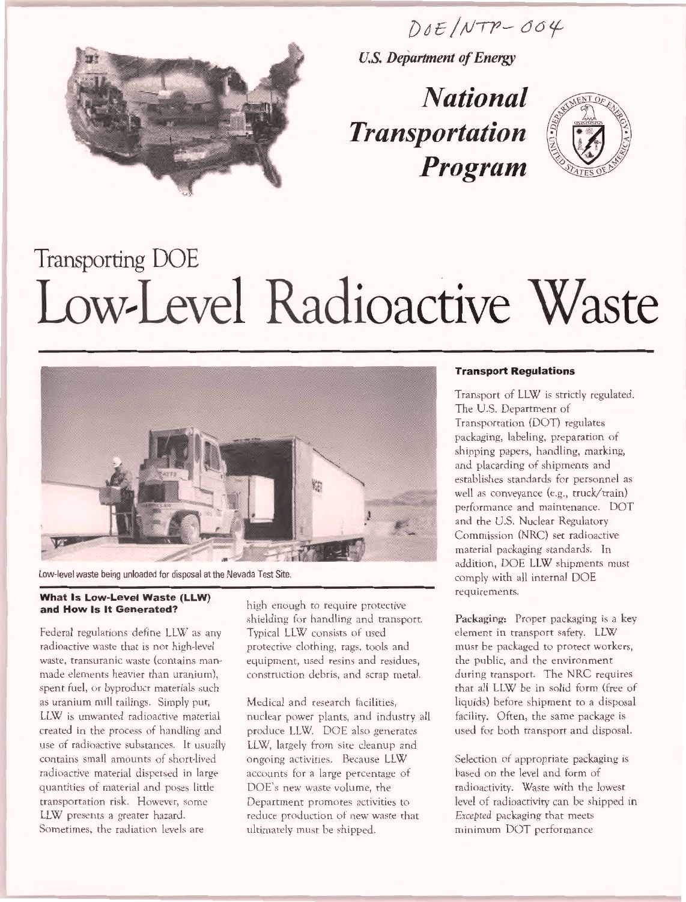$DOE/NTP-OO4$ 



1

U.S. Department of Energy

National Transportation Program



# Transporting DOE Low-Level Radioactive Waste



Low-level waste being unloaded for disposal at the Nevada Test Site.

#### What Is Low-Level Waste (LLW) and How Is It Generated?

Federal regulations define LLW as any radioactive waste that is not high-level waste, transuranic waste (contains manmade elements heavier than uranium), spent fuel, or byproduct materials such as uranium mill tailings. Simply put, LLW is unwanted radioactive material created in the process of handling and use of radioactive substances. It usually contains small amounts of short-lived radioactive material dispersed in large quantities of material and poses little transportation risk. However, some LLW presents a greater hazard. Sometimes, the radiation levels are

high enough to require protective shielding for handling and transport. Typical LLW consists of used protective clothing, rags, tools and equipment, used resins and residues, construction debris, and scrap metal.

Medical and research facilities, nuclear power plants, and industry all produce LLW. DOE also generates LLW, largely from site cleanup and ongoing activities. Because LLW accounts for a large percentage of DOE's new waste volume, the Department promotes activities to reduce production of new waste that ultimately must be shipped.

#### Transport Regulations

Transport of LLW is strictly regulated. The U.S. Department of Transportation (DOT) regulates packaging, labeling, preparation of shipping papers, handling, marking, and placarding of shipments and establishes standards for personnel as well as conveyance (e.g., truck/train) performance and maintenance. DOT and the U.S. Nuclear Regulatory Commission (NRC) set radioactive material packaging standards. In addition, DOE LLW shipments must comply with all internal DOE requirements.

Packaging: Proper packaging is a key element in transport safety. LLW must be packaged to protect workers, the public, and the environment during transport. The NRC requires that all LLW be in solid form (free of liquids) before shipment to a disposal facility. Often, the same package is used for both transport and disposal.

Selection of appropriate packaging is based on the level and form of radioactivity. Waste with the lowest level of radioactivity can he shipped in Excepted packaging that meets minimum DOT performance